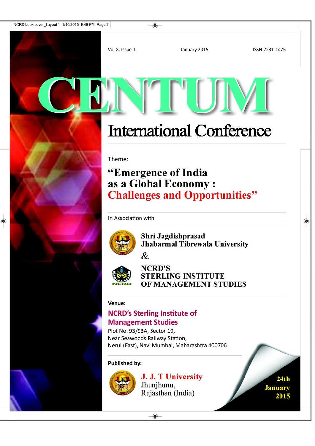January 2015

ISSN 2231-1475

# **International Conference**

Theme:

Vol-8, Issue-1

## "Emergence of India as a Global Economy: **Challenges and Opportunities"**

In Association with



Shri Jagdishprasad Jhabarmal Tibrewala University



**NCRD'S STERLING INSTITUTE** OF MANAGEMENT STUDIES

#### Venue:

### **NCRD's Sterling Institute of Management Studies**

Plot No. 93/93A, Sector 19, Near Seawoods Railway Station, Nerul (East), Navi Mumbai, Maharashtra 400706

#### **Published by:**



J. J. T University Jhunjhunu, Rajasthan (India)

 $24th$ **January** 2015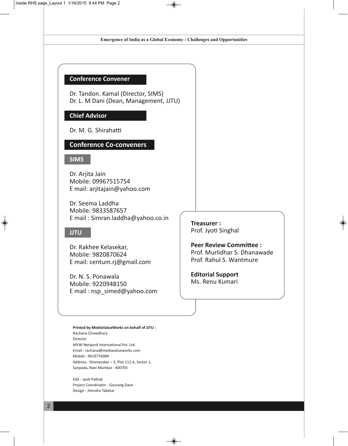**Emergence of India as a Global Economy : Challenges and Opportunities**

◈

#### **Conference Convener**

Dr. Tandon. Kamal (Director, SIMS) Dr. L. M Dani (Dean, Management, JJTU)

#### **Chief Advisor**

Dr. M. G. Shirahatti

#### **Conference Co-conveners**

#### **SIMS**

Dr. Arjita Jain Mobile: 09967515754 E mail: arjitajain@yahoo.com

Dr. Seema Laddha Mobile: 9833587657 E mail : Simran.laddha@yahoo.co.in

#### **JJTU**

 $\bigcirc$ 

Dr. Rakhee Kelasekar, Mobile: 9820870624 E mail: centum.rj@gmail.com

Dr. N. S. Ponawala Mobile: 9220948150 E mail : nsp\_simed@yahoo.com

**Printed by MediaValueWorks on behalf of JJTU :** Rachana Chowdhary Director MVW Network International Pvt. Ltd. Email : rachana@mediavalueworks.com Mobile : 9619776084 Address : Shivnandan – 3, Plot 112 A, Sector 1, Sanpada, Navi Mumbai - 400705

Edit - Jyoti Pathak Project Coordinator - Gaurang Dave Design - Jitendra Takekar

**Treasurer :** Prof. Jyoti Singhal

**Peer Review Committee :** Prof. Murlidhar S. Dhanawade Prof. Rahul S. Wantmure

**Editorial Support** Ms. Renu Kumari

◈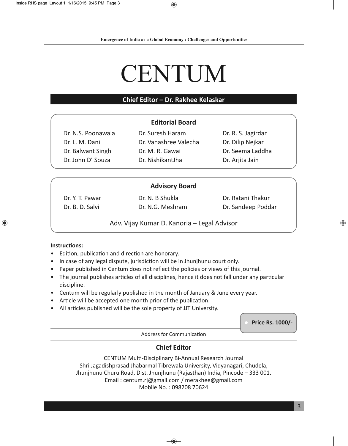**Emergence of India as a Global Economy : Challenges and Opportunities**

◈

# **CENTUM**

#### **Chief Editor – Dr. Rakhee Kelaskar**

#### **Editorial Board**

Dr. N.S. Poonawala Dr. L. M. Dani Dr. Balwant Singh Dr. John D' Souza

Dr. Suresh Haram Dr. Vanashree Valecha Dr. M. R. Gawai Dr. NishikantJha

Dr. R. S. Jagirdar Dr. Dilip Nejkar Dr. Seema Laddha Dr. Arjita Jain

#### **Advisory Board**

Dr. Y. T. Pawar Dr. B. D. Salvi

Dr. N. B Shukla Dr. N.G. Meshram Dr. Ratani Thakur Dr. Sandeep Poddar

Adv. Vijay Kumar D. Kanoria – Legal Advisor

#### **Instructions:**

◈

- Edition, publication and direction are honorary.
- In case of any legal dispute, jurisdiction will be in Jhunjhunu court only.
- Paper published in Centum does not reflect the policies or views of this journal.
- The journal publishes articles of all disciplines, hence it does not fall under any particular discipline.
- Centum will be regularly published in the month of January & June every year.
- Article will be accepted one month prior of the publication.
- All articles published will be the sole property of JJT University.

**Price Rs. 1000/-**

Address for Communication

#### **Chief Editor**

CENTUM Multi-Disciplinary Bi-Annual Research Journal Shri Jagadishprasad Jhabarmal Tibrewala University, Vidyanagari, Chudela, Jhunjhunu Churu Road, Dist. Jhunjhunu (Rajasthan) India, Pincode – 333 001. Email : centum.rj@gmail.com / merakhee@gmail.com Mobile No. : 098208 70624

◈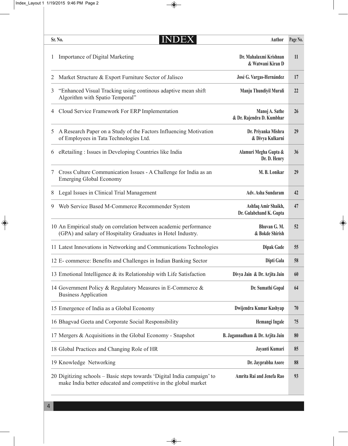| Sr. No. | <b>INDEX</b>                                                                                                                               | <b>Author</b>                                  | Page No. |
|---------|--------------------------------------------------------------------------------------------------------------------------------------------|------------------------------------------------|----------|
|         | Importance of Digital Marketing                                                                                                            | Dr. Mahalaxmi Krishnan<br>& Watwani Kiran D    | 11       |
| 2       | Market Structure & Export Furniture Sector of Jalisco                                                                                      | José G. Vargas-Hernández                       | 17       |
| 3       | "Enhanced Visual Tracking using continous adaptive mean shift<br>Algorithm with Spatio Temporal"                                           | Manju Thundiyil Murali                         | 22       |
| 4       | Cloud Service Framework For ERP Implementation                                                                                             | Manoj A. Sathe<br>& Dr. Rajendra D. Kumbhar    | 26       |
| 5       | A Research Paper on a Study of the Factors Influencing Motivation<br>of Employees in Tata Technologies Ltd.                                | Dr. Priyanka Mishra<br>& Divya Kulkarni        | 29       |
| 6       | eRetailing: Issues in Developing Countries like India                                                                                      | Alamuri Megha Gupta &<br>Dr. D. Henry          | 36       |
| 7       | Cross Culture Communication Issues - A Challenge for India as an<br><b>Emerging Global Economy</b>                                         | M. B. Lonikar                                  | 29       |
| 8       | Legal Issues in Clinical Trial Management                                                                                                  | <b>Adv. Asha Sundaram</b>                      | 42       |
| 9       | Web Service Based M-Commerce Recommender System                                                                                            | Ashfaq Amir Shaikh,<br>Dr. Gulabchand K. Gupta | 47       |
|         | 10 An Empirical study on correlation between academic performance<br>(GPA) and salary of Hospitality Graduates in Hotel Industry.          | Bhuvan G. M.<br>& Bokde Shirish                | 52       |
|         | 11 Latest Innovations in Networking and Communications Technologies                                                                        | <b>Dipak Gade</b>                              | 55       |
|         | 12 E- commerce: Benefits and Challenges in Indian Banking Sector                                                                           | Dipti Gala                                     | 58       |
|         | 13 Emotional Intelligence & its Relationship with Life Satisfaction                                                                        | Divya Jain & Dr. Arjita Jain                   | 60       |
|         | 14 Government Policy & Regulatory Measures in E-Commerce &<br><b>Business Application</b>                                                  | Dr. Sumathi Gopal                              | 64       |
|         | 15 Emergence of India as a Global Economy                                                                                                  | Dwijendra Kumar Kashyap                        | 70       |
|         | 16 Bhagvad Geeta and Corporate Social Responsibility                                                                                       | Hemangi Ingale                                 | 75       |
|         | 17 Mergers & Acquisitions in the Global Economy - Snapshot                                                                                 | B. Jagannadham & Dr. Arjita Jain               | 80       |
|         | 18 Global Practices and Changing Role of HR                                                                                                | Jayanti Kumari                                 | 85       |
|         | 19 Knowledge Networking                                                                                                                    | Dr. Jayprabha Asore                            | 88       |
|         | 20 Digitizing schools – Basic steps towards 'Digital India campaign' to<br>make India better educated and competitive in the global market | Amrita Rai and Jenefa Rao                      | 93       |

 $\rightarrow$ 

 $\begin{picture}(120,10) \put(0,0){\line(1,0){10}} \put(15,0){\line(1,0){10}} \put(15,0){\line(1,0){10}} \put(15,0){\line(1,0){10}} \put(15,0){\line(1,0){10}} \put(15,0){\line(1,0){10}} \put(15,0){\line(1,0){10}} \put(15,0){\line(1,0){10}} \put(15,0){\line(1,0){10}} \put(15,0){\line(1,0){10}} \put(15,0){\line(1,0){10}} \put(15,0){\line($ 

 $\begin{picture}(20,5) \put(0,0){\line(1,0){10}} \put(15,0){\line(1,0){10}} \put(15,0){\line(1,0){10}} \put(15,0){\line(1,0){10}} \put(15,0){\line(1,0){10}} \put(15,0){\line(1,0){10}} \put(15,0){\line(1,0){10}} \put(15,0){\line(1,0){10}} \put(15,0){\line(1,0){10}} \put(15,0){\line(1,0){10}} \put(15,0){\line(1,0){10}} \put(15,0){\line(1,$ 

4

 $\Rightarrow$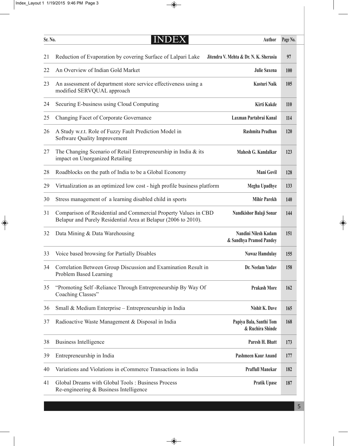$\Rightarrow$ 

| Sr. No. | NDEX                                                                                                                              | Author                                          | Page No.   |
|---------|-----------------------------------------------------------------------------------------------------------------------------------|-------------------------------------------------|------------|
| 21      | Reduction of Evaporation by covering Surface of Lalpari Lake                                                                      | Jitendra V. Mehta & Dr. N. K. Sherasia          | 97         |
| 22      | An Overview of Indian Gold Market                                                                                                 | <b>Julie Saxena</b>                             | <b>100</b> |
| 23      | An assessment of department store service effectiveness using a<br>modified SERVQUAL approach                                     | Kasturi Naik                                    | 105        |
| 24      | Securing E-business using Cloud Computing                                                                                         | Kirti Kakde                                     | <b>110</b> |
| 25      | Changing Facet of Corporate Governance                                                                                            | Laxman Partabrai Kanal                          | 114        |
| 26      | A Study w.r.t. Role of Fuzzy Fault Prediction Model in<br>Software Quality Improvement                                            | Rashmita Pradhan                                | 120        |
| 27      | The Changing Scenario of Retail Entrepreneurship in India & its<br>impact on Unorganized Retailing                                | Mahesh G. Kandalkar                             | 123        |
| 28      | Roadblocks on the path of India to be a Global Economy                                                                            | Mani Govil                                      | 128        |
| 29      | Virtualization as an optimized low cost - high profile business platform                                                          | <b>Megha Upadhye</b>                            | 133        |
| 30      | Stress management of a learning disabled child in sports                                                                          | <b>Mihir Parekh</b>                             | 140        |
| 31      | Comparison of Residential and Commercial Property Values in CBD<br>Belapur and Purely Residential Area at Belapur (2006 to 2010). | Nandkishor Balaji Sonar                         | 144        |
| 32      | Data Mining & Data Warehousing                                                                                                    | Nandini Nilesh Kadam<br>& Sandhya Pramod Pandey | 151        |
| 33      | Voice based browsing for Partially Disables                                                                                       | <b>Nawaz Hamdulay</b>                           | 155        |
| 34      | Correlation Between Group Discussion and Examination Result in<br>Problem Based Learning                                          | Dr. Neelam Yadav                                | 158        |
| 35      | "Promoting Self-Reliance Through Entrepreneurship By Way Of<br>Coaching Classes"                                                  | <b>Prakash More</b>                             | 162        |
| 36      | Small & Medium Enterprise – Entrepreneurship in India                                                                             | Nishit K. Dave                                  | 165        |
| 37      | Radioactive Waste Management & Disposal in India                                                                                  | Papiya Bala, Santhi Tom<br>& Ruchira Shinde     | 168        |
| 38      | <b>Business Intelligence</b>                                                                                                      | Paresh H. Bhatt                                 | 173        |
| 39      | Entrepreneurship in India                                                                                                         | Pashmeen Kaur Anand                             | 177        |
| 40      | Variations and Violations in eCommerce Transactions in India                                                                      | <b>Praffull Manekar</b>                         | 182        |
| 41      | Global Dreams with Global Tools: Business Process<br>Re-engineering & Business Intelligence                                       | <b>Pratik Upase</b>                             | 187        |

 $\rightarrow$ 

 $\begin{picture}(20,5) \put(0,0){\line(1,0){10}} \put(15,0){\line(1,0){10}} \put(15,0){\line(1,0){10}} \put(15,0){\line(1,0){10}} \put(15,0){\line(1,0){10}} \put(15,0){\line(1,0){10}} \put(15,0){\line(1,0){10}} \put(15,0){\line(1,0){10}} \put(15,0){\line(1,0){10}} \put(15,0){\line(1,0){10}} \put(15,0){\line(1,0){10}} \put(15,0){\line(1,$ 

 $\begin{picture}(120,10) \put(0,0){\line(1,0){10}} \put(15,0){\line(1,0){10}} \put(15,0){\line(1,0){10}} \put(15,0){\line(1,0){10}} \put(15,0){\line(1,0){10}} \put(15,0){\line(1,0){10}} \put(15,0){\line(1,0){10}} \put(15,0){\line(1,0){10}} \put(15,0){\line(1,0){10}} \put(15,0){\line(1,0){10}} \put(15,0){\line(1,0){10}} \put(15,0){\line($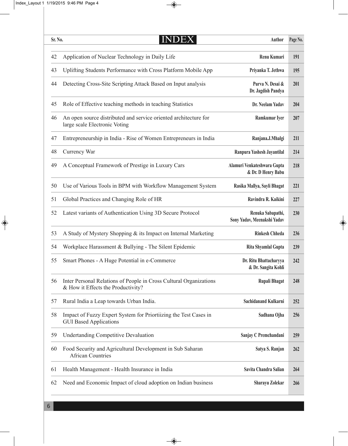| Sr. No. | <b>INDEX</b>                                                                                             | <b>Author</b>                                     | Page No. |
|---------|----------------------------------------------------------------------------------------------------------|---------------------------------------------------|----------|
| 42      | Application of Nuclear Technology in Daily Life                                                          | Renu Kumari                                       | 191      |
| 43      | Uplifting Students Performance with Cross Platform Mobile App                                            | Priyanka T. Jethwa                                | 195      |
| 44      | Detecting Cross-Site Scripting Attack Based on Input analysis                                            | Purva N. Desai &<br>Dr. Jagdish Pandya            | 201      |
| 45      | Role of Effective teaching methods in teaching Statistics                                                | Dr. Neelam Yadav                                  | 204      |
| 46      | An open source distributed and service oriented architecture for<br>large scale Electronic Voting        | Ramkumar Iyer                                     | 207      |
| 47      | Entrepreneurship in India - Rise of Women Entrepreneurs in India                                         | Ranjana.J.Mhalgi                                  | 211      |
| 48      | Currency War                                                                                             | Ranpura Yashesh Jayantilal                        | 214      |
| 49      | A Conceptual Framework of Prestige in Luxury Cars                                                        | Alamuri Venkateshwara Gupta<br>& Dr. D Henry Babu | 218      |
| 50      | Use of Various Tools in BPM with Workflow Management System                                              | Rasika Mallya, Sayli Bhagat                       | 221      |
| 51      | Global Practices and Changing Role of HR                                                                 | Ravindra R. Kaikini                               | 227      |
| 52      | Latest variants of Authentication Using 3D Secure Protocol                                               | Renuka Sabapathi,<br>Sony Yadav, Meenakshi Yadav  | 230      |
| 53      | A Study of Mystery Shopping & its Impact on Internal Marketing                                           | <b>Rinkesh Chheda</b>                             | 236      |
| 54      | Workplace Harassment & Bullying - The Silent Epidemic                                                    | Rita Shyamlal Gupta                               | 239      |
| 55      | Smart Phones - A Huge Potential in e-Commerce                                                            | Dr. Ritu Bhattacharyya<br>& Dr. Sangita Kohli     | 242      |
| 56      | Inter Personal Relations of People in Cross Cultural Organizations<br>& How it Effects the Productivity? | <b>Rupali Bhagat</b>                              | 248      |
| 57      | Rural India a Leap towards Urban India.                                                                  | Sachidanand Kulkarni                              | 252      |
| 58      | Impact of Fuzzy Expert System for Priortiizing the Test Cases in<br><b>GUI Based Applications</b>        | Sadhana Ojha                                      | 256      |
| 59      | <b>Undertanding Competitive Devaluation</b>                                                              | Sanjay C Premchandani                             | 259      |
| 60      | Food Security and Agricultural Development in Sub Saharan<br><b>African Countries</b>                    | Satya S. Ranjan                                   | 262      |
| 61      | Health Management - Health Insurance in India                                                            | Savita Chandra Salian                             | 264      |
| 62      | Need and Economic Impact of cloud adoption on Indian business                                            | Sharayu Zolekar                                   | 266      |

 $\rightarrow$ 

 $\begin{picture}(120,10) \put(0,0){\line(1,0){10}} \put(15,0){\line(1,0){10}} \put(15,0){\line(1,0){10}} \put(15,0){\line(1,0){10}} \put(15,0){\line(1,0){10}} \put(15,0){\line(1,0){10}} \put(15,0){\line(1,0){10}} \put(15,0){\line(1,0){10}} \put(15,0){\line(1,0){10}} \put(15,0){\line(1,0){10}} \put(15,0){\line(1,0){10}} \put(15,0){\line($ 

 $\begin{picture}(20,5) \put(0,0){\line(1,0){10}} \put(15,0){\line(1,0){10}} \put(15,0){\line(1,0){10}} \put(15,0){\line(1,0){10}} \put(15,0){\line(1,0){10}} \put(15,0){\line(1,0){10}} \put(15,0){\line(1,0){10}} \put(15,0){\line(1,0){10}} \put(15,0){\line(1,0){10}} \put(15,0){\line(1,0){10}} \put(15,0){\line(1,0){10}} \put(15,0){\line(1,$ 

6

 $\Rightarrow$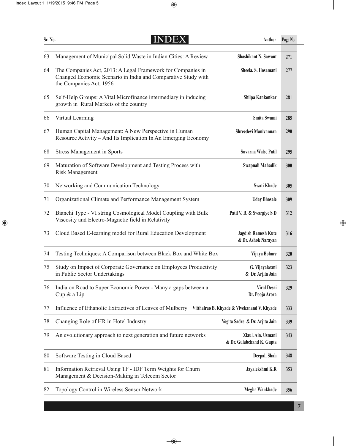$\Rightarrow$ 

| Sr. No. | INDEX                                                                                                                                                   | <b>Author</b>                                     | Page No.   |
|---------|---------------------------------------------------------------------------------------------------------------------------------------------------------|---------------------------------------------------|------------|
| 63      | Management of Municipal Solid Waste in Indian Cities: A Review                                                                                          | <b>Shashikant N. Sawant</b>                       | 271        |
| 64      | The Companies Act, 2013: A Legal Framework for Companies in<br>Changed Economic Scenario in India and Comparative Study with<br>the Companies Act, 1956 | Sheela. S. Hosamani                               | 277        |
| 65      | Self-Help Groups: A Vital Microfinance intermediary in inducing<br>growth in Rural Markets of the country                                               | Shilpa Kankonkar                                  | 281        |
| 66      | Virtual Learning                                                                                                                                        | Smita Swami                                       | 285        |
| 67      | Human Capital Management: A New Perspective in Human<br>Resource Activity – And Its Implication In An Emerging Economy                                  | Shreedevi Manivannan                              | <b>290</b> |
| 68      | <b>Stress Management in Sports</b>                                                                                                                      | <b>Suvarna Walse Patil</b>                        | 295        |
| 69      | Maturation of Software Development and Testing Process with<br><b>Risk Management</b>                                                                   | Swapnali Mahadik                                  | 300        |
| 70      | Networking and Communication Technology                                                                                                                 | <b>Swati Khade</b>                                | 305        |
| 71      | Organizational Climate and Performance Management System                                                                                                | <b>Uday Bhosale</b>                               | 309        |
| 72      | Bianchi Type - VI string Cosmological Model Coupling with Bulk<br>Viscosity and Electro-Magnetic field in Relativity                                    | Patil V. R. & Swargiye S D                        | 312        |
| 73      | Cloud Based E-learning model for Rural Education Development                                                                                            | <b>Jagdish Ramesh Kute</b><br>& Dr. Ashok Narayan | 316        |
| 74      | Testing Techniques: A Comparison between Black Box and White Box                                                                                        | Vijaya Bohare                                     | 320        |
|         | 75 Study on Impact of Corporate Governance on Employees Productivity<br>in Public Sector Undertakings                                                   | G. Vijayalaxmi<br>& Dr. Arjita Jain               | 323        |
| 76      | India on Road to Super Economic Power - Many a gaps between a<br>Cup & a Lip                                                                            | <b>Viral Desai</b><br>Dr. Pooja Arora             | 329        |
| 77      | Influence of Ethanolic Extractives of Leaves of Mulberry                                                                                                | Vitthalrao B. Khyade & Vivekanand V. Khyade       | 333        |
| 78      | Changing Role of HR in Hotel Industry                                                                                                                   | Yogita Sadre & Dr. Arjita Jain                    | 339        |
| 79      | An evolutionary approach to next generation and future networks                                                                                         | Ziaul. Ain. Usmani<br>& Dr. Gulabchand K. Gupta   | 343        |
| 80      | Software Testing in Cloud Based                                                                                                                         | Deepali Shah                                      | 348        |
| 81      | Information Retrieval Using TF - IDF Term Weights for Churn<br>Management & Decision-Making in Telecom Sector                                           | Jayalekshmi K.R                                   | 353        |
| 82      | Topology Control in Wireless Sensor Network                                                                                                             | Megha Wankhade                                    | 356        |

 $\rightarrow$ 

 $\begin{picture}(20,5) \put(0,0){\line(1,0){10}} \put(15,0){\line(1,0){10}} \put(15,0){\line(1,0){10}} \put(15,0){\line(1,0){10}} \put(15,0){\line(1,0){10}} \put(15,0){\line(1,0){10}} \put(15,0){\line(1,0){10}} \put(15,0){\line(1,0){10}} \put(15,0){\line(1,0){10}} \put(15,0){\line(1,0){10}} \put(15,0){\line(1,0){10}} \put(15,0){\line(1,$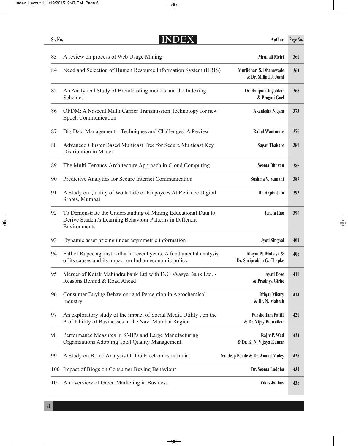| Sr. No. | DEX<br>NI                                                                                                                                   | <b>Author</b>                                     | Page No. |
|---------|---------------------------------------------------------------------------------------------------------------------------------------------|---------------------------------------------------|----------|
| 83      | A review on process of Web Usage Mining                                                                                                     | Mrunali Metri                                     | 360      |
| 84      | Need and Selection of Human Resource Information System (HRIS)                                                                              | Murlidhar S. Dhanawade<br>& Dr. Milind J. Joshi   | 364      |
| 85      | An Analytical Study of Broadcasting models and the Indexing<br>Schemes                                                                      | Dr. Ranjana Ingolikar<br>& Pragati Goel           | 368      |
| 86      | OFDM: A Nascent Multi Carrier Transmission Technology for new<br><b>Epoch Communication</b>                                                 | Akanksha Nigam                                    | 373      |
| 87      | Big Data Management – Techniques and Challenges: A Review                                                                                   | <b>Rahul Wantmure</b>                             | 376      |
| 88      | Advanced Cluster Based Multicast Tree for Secure Multicast Key<br>Distribution in Manet                                                     | <b>Sagar Thakare</b>                              | 380      |
| 89      | The Multi-Tenancy Architecture Approach in Cloud Computing                                                                                  | <b>Seema Bhuvan</b>                               | 385      |
| 90      | Predictive Analytics for Secure Internet Communication                                                                                      | <b>Sushma V. Sumant</b>                           | 387      |
| 91      | A Study on Quality of Work Life of Empoyees At Reliance Digital<br>Srores, Mumbai                                                           | Dr. Arjita Jain                                   | 392      |
| 92      | To Demonstrate the Understanding of Mining Educational Data to<br>Derive Student's Learning Behaviour Patterns in Different<br>Environments | Jenefa Rao                                        | 396      |
| 93      | Dynamic asset pricing under asymmetric information                                                                                          | <b>Jyoti Singhal</b>                              | 401      |
| 94      | Fall of Rupee against dollar in recent years: A fundamental analysis<br>of its causes and its impact on Indian economic policy              | Mayur N. Malviya &<br>Dr. Shriprabhu G. Chapke    | 406      |
| 95      | Merger of Kotak Mahindra bank Ltd with ING Vyasya Bank Ltd. -<br>Reasons Behind & Road Ahead                                                | <b>Ayati Bose</b><br>& Pradnya Girhe              | 410      |
| 96      | Consumer Buying Behaviour and Perception in Agrochemical<br>Industry                                                                        | <b>Iftiqar Mistry</b><br>& Dr. N. Mahesh          | 414      |
| 97      | An exploratory study of the impact of Social Media Utility, on the<br>Profitability of Businesses in the Navi Mumbai Region                 | <b>Purshottam Patil1</b><br>& Dr. Vijay Bidwaikar | 420      |
| 98      | Performance Measures in SME's and Large Manufacturing<br>Organizations Adopting Total Quality Management                                    | Rajiv P. Wad<br>& Dr. K. N. Vijaya Kumar          | 424      |
| 99      | A Study on Brand Analysis Of LG Electronics in India                                                                                        | Sandeep Ponde & Dr. Anand Muley                   | 428      |
|         | 100 Impact of Blogs on Consumer Buying Behaviour                                                                                            | Dr. Seema Laddha                                  | 432      |
|         | 101 An overview of Green Marketing in Business                                                                                              | <b>Vikas Jadhav</b>                               | 436      |
|         |                                                                                                                                             |                                                   |          |

 $\rightarrow$ 

 $\begin{picture}(120,10) \put(0,0){\line(1,0){10}} \put(15,0){\line(1,0){10}} \put(15,0){\line(1,0){10}} \put(15,0){\line(1,0){10}} \put(15,0){\line(1,0){10}} \put(15,0){\line(1,0){10}} \put(15,0){\line(1,0){10}} \put(15,0){\line(1,0){10}} \put(15,0){\line(1,0){10}} \put(15,0){\line(1,0){10}} \put(15,0){\line(1,0){10}} \put(15,0){\line($ 

 $\begin{picture}(20,5) \put(0,0){\line(1,0){10}} \put(15,0){\line(1,0){10}} \put(15,0){\line(1,0){10}} \put(15,0){\line(1,0){10}} \put(15,0){\line(1,0){10}} \put(15,0){\line(1,0){10}} \put(15,0){\line(1,0){10}} \put(15,0){\line(1,0){10}} \put(15,0){\line(1,0){10}} \put(15,0){\line(1,0){10}} \put(15,0){\line(1,0){10}} \put(15,0){\line(1,$ 

8

 $\Rightarrow$